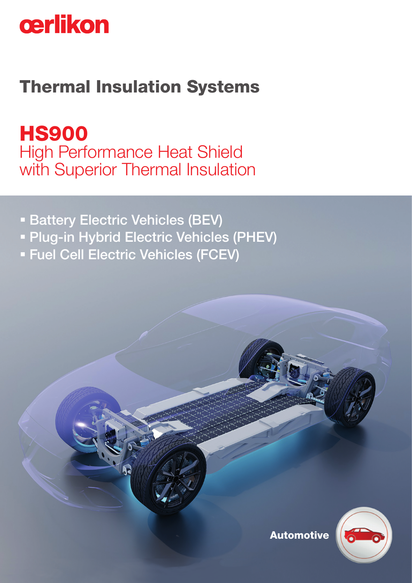

## Thermal Insulation Systems

HS900 High Performance Heat Shield with Superior Thermal Insulation

- **Battery Electric Vehicles (BEV)**
- **Plug-in Hybrid Electric Vehicles (PHEV)**
- Fuel Cell Electric Vehicles (FCEV)



Automotive